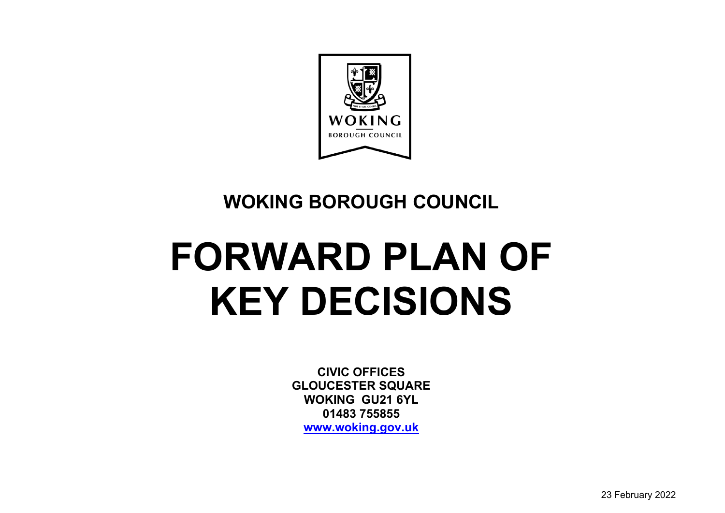

# **WOKING BOROUGH COUNCIL**

# **FORWARD PLAN OF KEY DECISIONS**

**CIVIC OFFICES GLOUCESTER SQUARE WOKING GU21 6YL 01483 755855 [www.woking.gov.uk](http://www.woking.gov.uk/)**

23 February 2022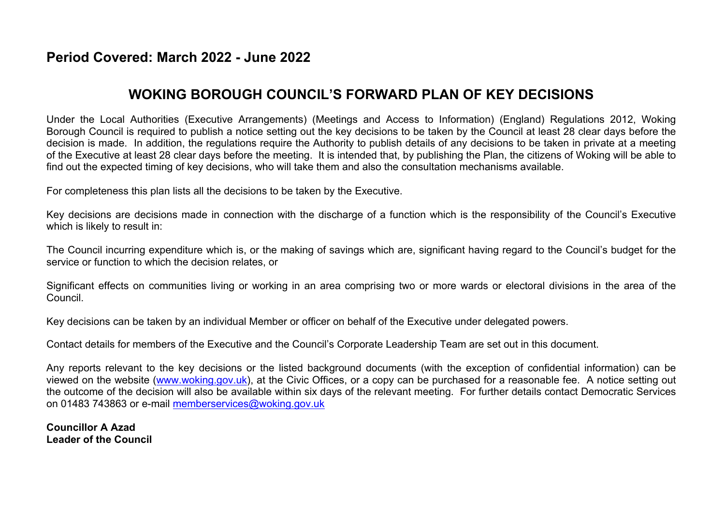#### **Period Covered: March 2022 - June 2022**

#### **WOKING BOROUGH COUNCIL'S FORWARD PLAN OF KEY DECISIONS**

Under the Local Authorities (Executive Arrangements) (Meetings and Access to Information) (England) Regulations 2012, Woking Borough Council is required to publish a notice setting out the key decisions to be taken by the Council at least 28 clear days before the decision is made. In addition, the regulations require the Authority to publish details of any decisions to be taken in private at a meeting of the Executive at least 28 clear days before the meeting. It is intended that, by publishing the Plan, the citizens of Woking will be able to find out the expected timing of key decisions, who will take them and also the consultation mechanisms available.

For completeness this plan lists all the decisions to be taken by the Executive.

Key decisions are decisions made in connection with the discharge of a function which is the responsibility of the Council's Executive which is likely to result in:

The Council incurring expenditure which is, or the making of savings which are, significant having regard to the Council's budget for the service or function to which the decision relates, or

Significant effects on communities living or working in an area comprising two or more wards or electoral divisions in the area of the Council.

Key decisions can be taken by an individual Member or officer on behalf of the Executive under delegated powers.

Contact details for members of the Executive and the Council's Corporate Leadership Team are set out in this document.

Any reports relevant to the key decisions or the listed background documents (with the exception of confidential information) can be viewed on the website ([www.woking.gov.uk\)](http://www.woking.gov.uk/), at the Civic Offices, or a copy can be purchased for a reasonable fee. A notice setting out the outcome of the decision will also be available within six days of the relevant meeting. For further details contact Democratic Services on 01483 743863 or e-mail [memberservices@woking.gov.uk](mailto:memberservices@woking.gov.uk)

**Councillor A Azad Leader of the Council**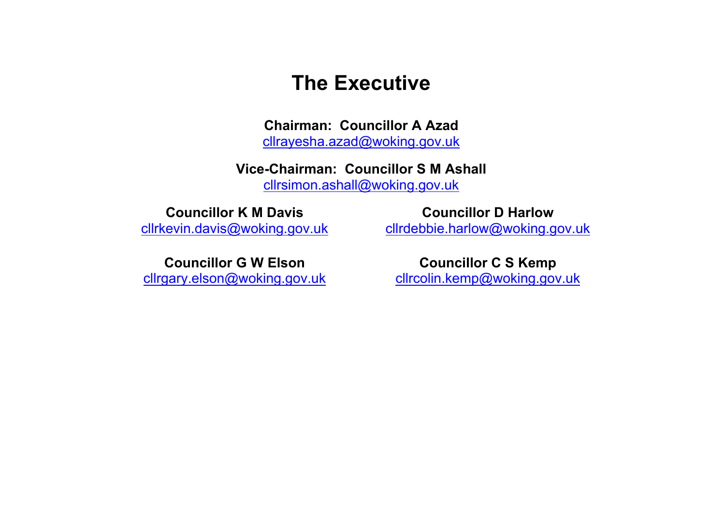## **The Executive**

**Chairman: Councillor A Azad**

[cllrayesha.azad@woking.gov.uk](mailto:cllrayesha.azad@woking.gov.uk)

**Vice-Chairman: Councillor S M Ashall**

[cllrsimon.ashall@woking.gov.uk](mailto:cllrsimon.ashall@woking.gov.uk)

**Councillor K M Davis**

[cllrkevin.davis@woking.gov.uk](mailto:cllrkevin.davis@woking.gov.uk)

**Councillor G W Elson** [cllrgary.elson@woking.gov.uk](mailto:cllrgary.elson@woking.gov.uk)

**Councillor D Harlow** [cllrdebbie.harlow@woking.gov.uk](mailto:cllrdebbie.harlow@woking.gov.uk)

**Councillor C S Kemp** [cllrcolin.kemp@woking.gov.uk](mailto:cllrcolin.kemp@woking.gov.uk)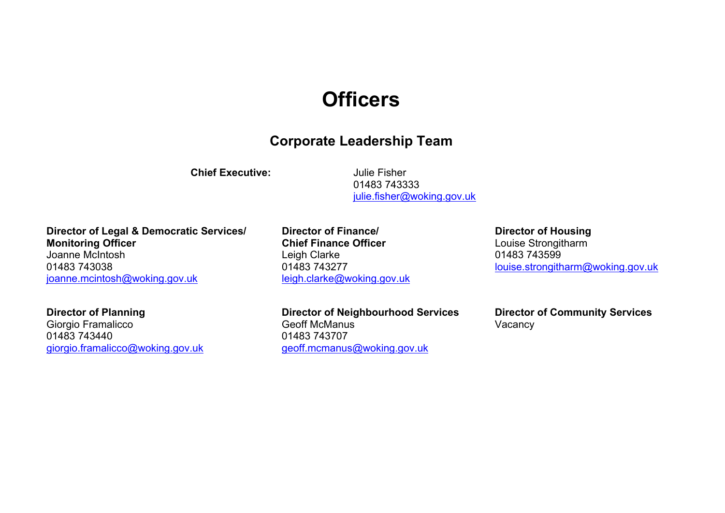## **Officers**

#### **Corporate Leadership Team**

**Chief Executive:** Julie Fisher

01483 743333 [julie.fisher@woking.gov.uk](mailto:julie.fisher@woking.gov.uk)

#### **Director of Legal & Democratic Services/ Monitoring Officer** Joanne McIntosh

01483 743038 [joanne.mcintosh@woking.gov.uk](mailto:joanne.mcintosh@woking.gov.uk)

#### **Director of Planning**

Giorgio Framalicco 01483 743440 [giorgio.framalicco@woking.gov.uk](mailto:giorgio.framalicco@woking.gov.uk) **Director of Finance/ Chief Finance Officer** Leigh Clarke 01483 743277 [leigh.clarke@woking.gov.uk](mailto:leigh.clarke@woking.gov.uk) **Director of Housing** Louise Strongitharm 01483 743599 [louise.strongitharm@woking.gov.uk](mailto:louise.strongitharm@woking.gov.uk)

**Director of Neighbourhood Services**

Geoff McManus 01483 743707 [geoff.mcmanus@woking.gov.uk](mailto:geoff.mcmanus@woking.gov.uk)

**Director of Community Services Vacancy**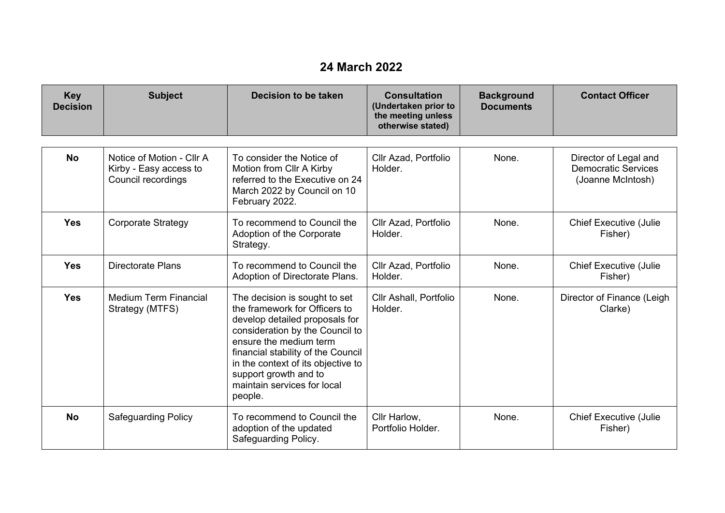## **24 March 2022**

| <b>Key</b><br><b>Decision</b> | <b>Subject</b>                                                            | <b>Decision to be taken</b>                                                                                                                                                                                                                                                                                  | <b>Consultation</b><br>(Undertaken prior to<br>the meeting unless<br>otherwise stated) | <b>Background</b><br><b>Documents</b> | <b>Contact Officer</b>                                                   |
|-------------------------------|---------------------------------------------------------------------------|--------------------------------------------------------------------------------------------------------------------------------------------------------------------------------------------------------------------------------------------------------------------------------------------------------------|----------------------------------------------------------------------------------------|---------------------------------------|--------------------------------------------------------------------------|
| <b>No</b>                     | Notice of Motion - Cllr A<br>Kirby - Easy access to<br>Council recordings | To consider the Notice of<br>Motion from Cllr A Kirby<br>referred to the Executive on 24<br>March 2022 by Council on 10<br>February 2022.                                                                                                                                                                    | Cllr Azad, Portfolio<br>Holder.                                                        | None.                                 | Director of Legal and<br><b>Democratic Services</b><br>(Joanne McIntosh) |
| <b>Yes</b>                    | <b>Corporate Strategy</b>                                                 | To recommend to Council the<br>Adoption of the Corporate<br>Strategy.                                                                                                                                                                                                                                        | Cllr Azad, Portfolio<br>Holder.                                                        | None.                                 | <b>Chief Executive (Julie</b><br>Fisher)                                 |
| <b>Yes</b>                    | <b>Directorate Plans</b>                                                  | To recommend to Council the<br>Adoption of Directorate Plans.                                                                                                                                                                                                                                                | Cllr Azad, Portfolio<br>Holder.                                                        | None.                                 | <b>Chief Executive (Julie</b><br>Fisher)                                 |
| <b>Yes</b>                    | <b>Medium Term Financial</b><br>Strategy (MTFS)                           | The decision is sought to set<br>the framework for Officers to<br>develop detailed proposals for<br>consideration by the Council to<br>ensure the medium term<br>financial stability of the Council<br>in the context of its objective to<br>support growth and to<br>maintain services for local<br>people. | Cllr Ashall, Portfolio<br>Holder.                                                      | None.                                 | Director of Finance (Leigh<br>Clarke)                                    |
| <b>No</b>                     | <b>Safeguarding Policy</b>                                                | To recommend to Council the<br>adoption of the updated<br>Safeguarding Policy.                                                                                                                                                                                                                               | Cllr Harlow,<br>Portfolio Holder.                                                      | None.                                 | <b>Chief Executive (Julie</b><br>Fisher)                                 |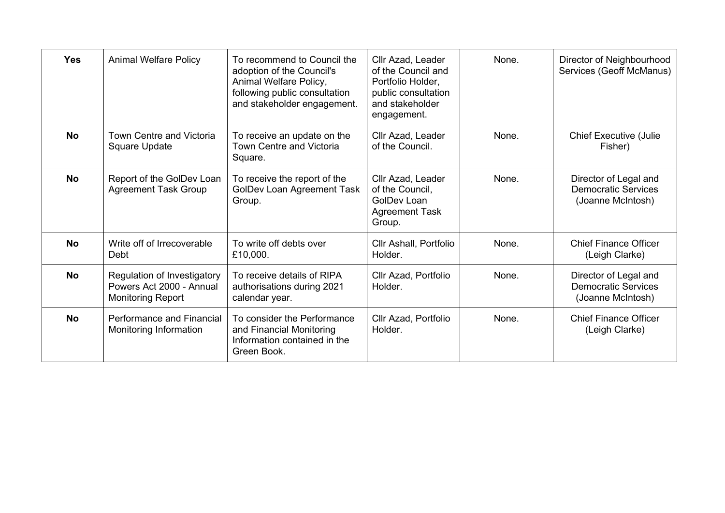| <b>Yes</b> | <b>Animal Welfare Policy</b>                                                        | To recommend to Council the<br>adoption of the Council's<br>Animal Welfare Policy,<br>following public consultation<br>and stakeholder engagement. | Cllr Azad, Leader<br>of the Council and<br>Portfolio Holder,<br>public consultation<br>and stakeholder<br>engagement. | None. | Director of Neighbourhood<br>Services (Geoff McManus)                    |
|------------|-------------------------------------------------------------------------------------|----------------------------------------------------------------------------------------------------------------------------------------------------|-----------------------------------------------------------------------------------------------------------------------|-------|--------------------------------------------------------------------------|
| <b>No</b>  | <b>Town Centre and Victoria</b><br>Square Update                                    | To receive an update on the<br><b>Town Centre and Victoria</b><br>Square.                                                                          | Cllr Azad, Leader<br>of the Council.                                                                                  | None. | <b>Chief Executive (Julie</b><br>Fisher)                                 |
| <b>No</b>  | Report of the GolDev Loan<br><b>Agreement Task Group</b>                            | To receive the report of the<br>GolDev Loan Agreement Task<br>Group.                                                                               | Cllr Azad, Leader<br>of the Council.<br>GolDev Loan<br><b>Agreement Task</b><br>Group.                                | None. | Director of Legal and<br><b>Democratic Services</b><br>(Joanne McIntosh) |
| <b>No</b>  | Write off of Irrecoverable<br>Debt                                                  | To write off debts over<br>£10,000.                                                                                                                | Cllr Ashall, Portfolio<br>Holder.                                                                                     | None. | <b>Chief Finance Officer</b><br>(Leigh Clarke)                           |
| <b>No</b>  | Regulation of Investigatory<br>Powers Act 2000 - Annual<br><b>Monitoring Report</b> | To receive details of RIPA<br>authorisations during 2021<br>calendar year.                                                                         | Cllr Azad, Portfolio<br>Holder.                                                                                       | None. | Director of Legal and<br><b>Democratic Services</b><br>(Joanne McIntosh) |
| <b>No</b>  | Performance and Financial<br>Monitoring Information                                 | To consider the Performance<br>and Financial Monitoring<br>Information contained in the<br>Green Book.                                             | Cllr Azad, Portfolio<br>Holder.                                                                                       | None. | <b>Chief Finance Officer</b><br>(Leigh Clarke)                           |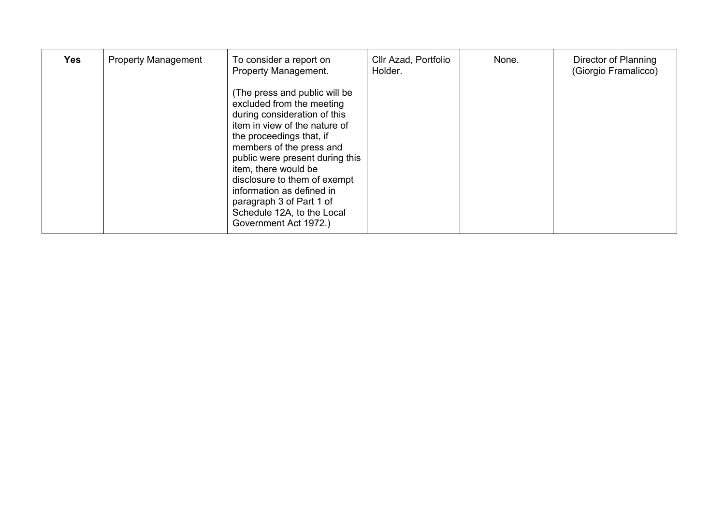| <b>Yes</b> | <b>Property Management</b> | To consider a report on<br>Property Management.                                                                                                                                                                                                                                                                                                                                                | Cllr Azad, Portfolio<br>Holder. | None. | Director of Planning<br>(Giorgio Framalicco) |
|------------|----------------------------|------------------------------------------------------------------------------------------------------------------------------------------------------------------------------------------------------------------------------------------------------------------------------------------------------------------------------------------------------------------------------------------------|---------------------------------|-------|----------------------------------------------|
|            |                            | (The press and public will be<br>excluded from the meeting<br>during consideration of this<br>item in view of the nature of<br>the proceedings that, if<br>members of the press and<br>public were present during this<br>item, there would be<br>disclosure to them of exempt<br>information as defined in<br>paragraph 3 of Part 1 of<br>Schedule 12A, to the Local<br>Government Act 1972.) |                                 |       |                                              |